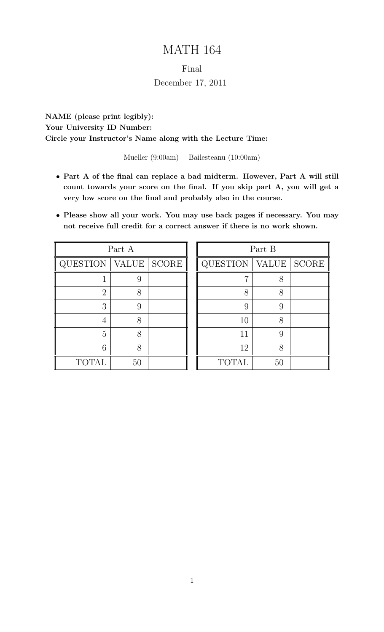# MATH 164

#### Final

## December 17, 2011

NAME (please print legibly): Your University ID Number: \_\_\_\_\_\_ Circle your Instructor's Name along with the Lecture Time:

Mueller (9:00am) Bailesteanu (10:00am)

- Part A of the final can replace a bad midterm. However, Part A will still count towards your score on the final. If you skip part A, you will get a very low score on the final and probably also in the course.
- Please show all your work. You may use back pages if necessary. You may not receive full credit for a correct answer if there is no work shown.

| Part A          |              |                        |
|-----------------|--------------|------------------------|
| <b>QUESTION</b> | <b>VALUE</b> | $\operatorname{SCORE}$ |
|                 | 9            |                        |
| $\overline{2}$  | 8            |                        |
| 3               | 9            |                        |
|                 | 8            |                        |
| 5               | 8            |                        |
| 6               | 8            |                        |
| <b>TOTAL</b>    | 50           |                        |

| Part B          |       |              |
|-----------------|-------|--------------|
| <b>QUESTION</b> | VALUE | <b>SCORE</b> |
|                 | 8     |              |
| 8               | 8     |              |
| 9               | 9     |              |
| 10              | 8     |              |
| 11              | 9     |              |
| 12              | 8     |              |
| <b>TOTAL</b>    | 50    |              |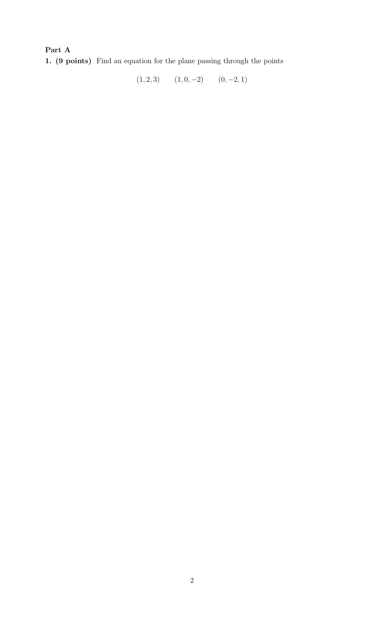Part A 1. (9 points) Find an equation for the plane passing through the points

 $(1, 2, 3)$   $(1, 0, -2)$   $(0, -2, 1)$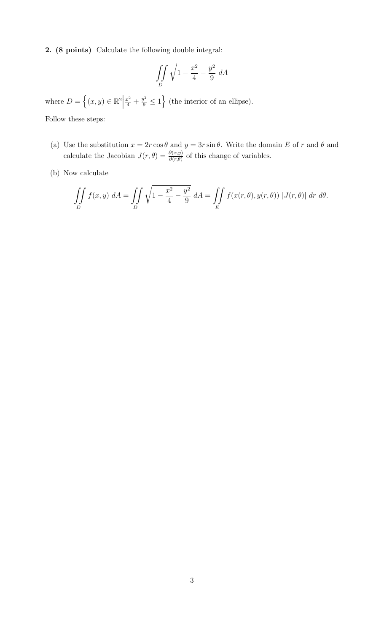2. (8 points) Calculate the following double integral:

$$
\iint\limits_D \sqrt{1 - \frac{x^2}{4} - \frac{y^2}{9}} dA
$$

where  $D = \{(x, y) \in \mathbb{R}^2 \mid$  $\frac{x^2}{4} + \frac{y^2}{9} \le 1$  (the interior of an ellipse).

Follow these steps:

- (a) Use the substitution  $x = 2r \cos \theta$  and  $y = 3r \sin \theta$ . Write the domain E of r and  $\theta$  and calculate the Jacobian  $J(r, \theta) = \frac{\partial(x, y)}{\partial(r, \theta)}$  of this change of variables.
- (b) Now calculate

$$
\iint\limits_{D} f(x,y) dA = \iint\limits_{D} \sqrt{1 - \frac{x^2}{4} - \frac{y^2}{9}} dA = \iint\limits_{E} f(x(r,\theta),y(r,\theta)) |J(r,\theta)| dr d\theta.
$$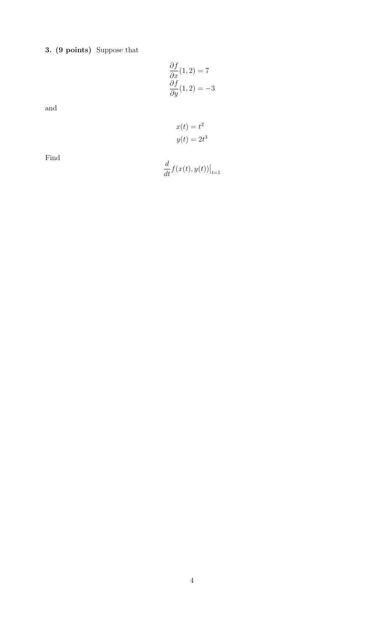3. (9 points) Suppose that

$$
\frac{\partial f}{\partial x}(1,2) = 7
$$

$$
\frac{\partial f}{\partial y}(1,2) = -3
$$

and

$$
x(t) = t^2
$$

$$
y(t) = 2t^3
$$

Find

$$
\frac{d}{dt}f(x(t),y(t))\big|_{t=1}
$$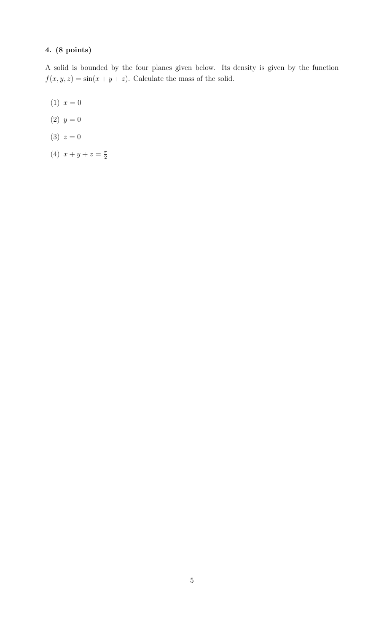A solid is bounded by the four planes given below. Its density is given by the function  $f(x, y, z) = \sin(x + y + z)$ . Calculate the mass of the solid.

- (1)  $x = 0$
- (2)  $y = 0$
- (3)  $z = 0$
- (4)  $x + y + z = \frac{\pi}{2}$ 2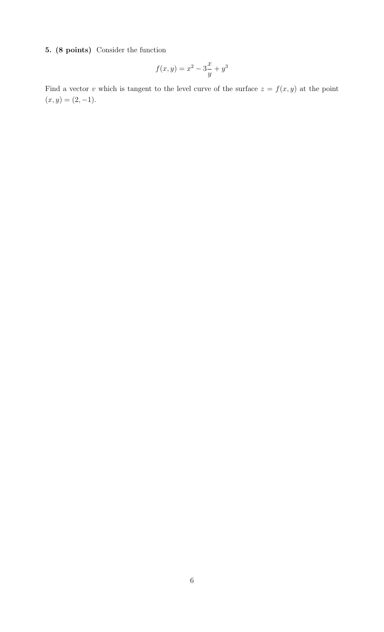## 5. (8 points) Consider the function

$$
f(x, y) = x^2 - 3\frac{x}{y} + y^3
$$

Find a vector v which is tangent to the level curve of the surface  $z = f(x, y)$  at the point  $(x, y) = (2, -1).$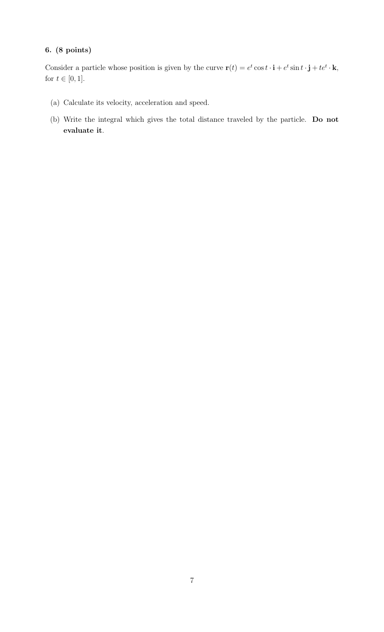Consider a particle whose position is given by the curve  $\mathbf{r}(t) = e^t \cos t \cdot \mathbf{i} + e^t \sin t \cdot \mathbf{j} + te^t \cdot \mathbf{k}$ , for  $t \in [0, 1]$ .

- (a) Calculate its velocity, acceleration and speed.
- (b) Write the integral which gives the total distance traveled by the particle. Do not evaluate it.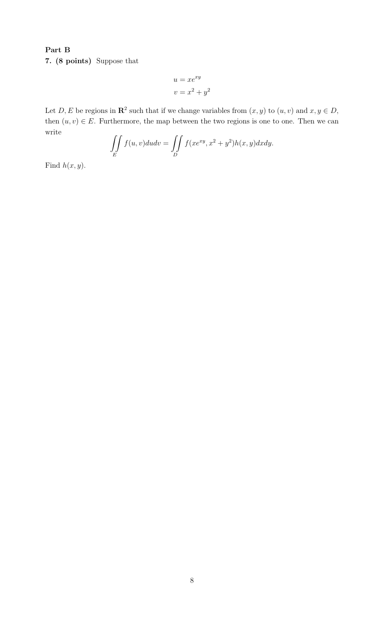Part B 7. (8 points) Suppose that

$$
u = xe^{xy}
$$

$$
v = x^2 + y^2
$$

Let D, E be regions in  $\mathbb{R}^2$  such that if we change variables from  $(x, y)$  to  $(u, v)$  and  $x, y \in D$ , then  $(u, v) \in E$ . Furthermore, the map between the two regions is one to one. Then we can write

$$
\iint\limits_E f(u,v)dudv = \iint\limits_D f(xe^{xy}, x^2 + y^2)h(x,y)dxdy.
$$

Find  $h(x, y)$ .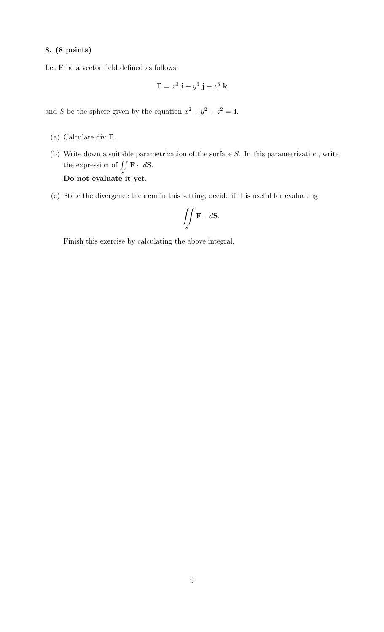Let  ${\bf F}$  be a vector field defined as follows:

$$
\mathbf{F} = x^3 \mathbf{i} + y^3 \mathbf{j} + z^3 \mathbf{k}
$$

and S be the sphere given by the equation  $x^2 + y^2 + z^2 = 4$ .

- (a) Calculate div F.
- (b) Write down a suitable parametrization of the surface S. In this parametrization, write the expression of  $\int$ S  $\mathbf{F} \cdot d\mathbf{S}$ . Do not evaluate it yet.
- (c) State the divergence theorem in this setting, decide if it is useful for evaluating

$$
\iint\limits_{S} \mathbf{F} \cdot d\mathbf{S}.
$$

Finish this exercise by calculating the above integral.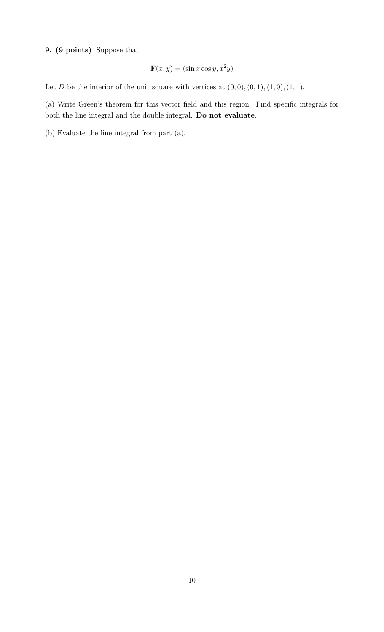## 9. (9 points) Suppose that

$$
\mathbf{F}(x, y) = (\sin x \cos y, x^2 y)
$$

Let D be the interior of the unit square with vertices at  $(0, 0), (0, 1), (1, 0), (1, 1).$ 

(a) Write Green's theorem for this vector field and this region. Find specific integrals for both the line integral and the double integral. Do not evaluate.

(b) Evaluate the line integral from part (a).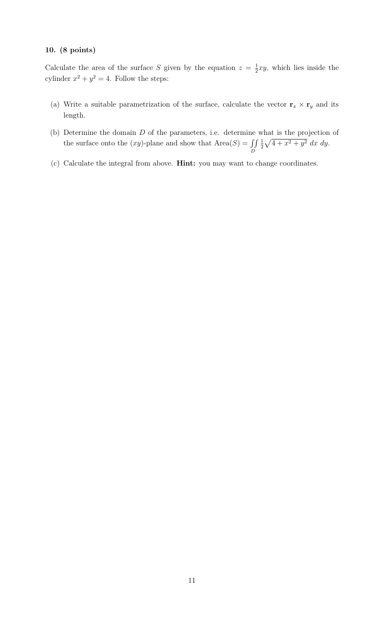Calculate the area of the surface S given by the equation  $z = \frac{1}{2}$  $\frac{1}{2}xy$ , which lies inside the cylinder  $x^2 + y^2 = 4$ . Follow the steps:

- (a) Write a suitable parametrization of the surface, calculate the vector  $\mathbf{r}_x \times \mathbf{r}_y$  and its length.
- (b) Determine the domain D of the parameters, i.e. determine what is the projection of the surface onto the  $(xy)$ -plane and show that  $Area(S) = \iint$ D 1  $\frac{1}{2}\sqrt{4+x^2+y^2}$  dx dy.
- (c) Calculate the integral from above. Hint: you may want to change coordinates.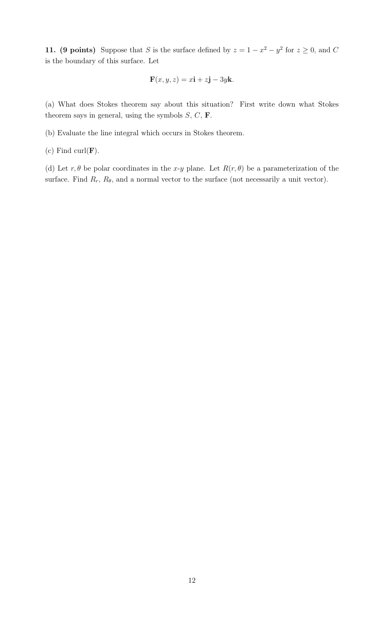11. (9 points) Suppose that S is the surface defined by  $z = 1 - x^2 - y^2$  for  $z \ge 0$ , and C is the boundary of this surface. Let

$$
\mathbf{F}(x, y, z) = x\mathbf{i} + z\mathbf{j} - 3y\mathbf{k}.
$$

(a) What does Stokes theorem say about this situation? First write down what Stokes theorem says in general, using the symbols  $S, C, F$ .

(b) Evaluate the line integral which occurs in Stokes theorem.

(c) Find curl $(\mathbf{F})$ .

(d) Let  $r, \theta$  be polar coordinates in the x-y plane. Let  $R(r, \theta)$  be a parameterization of the surface. Find  $R_r$ ,  $R_\theta$ , and a normal vector to the surface (not necessarily a unit vector).